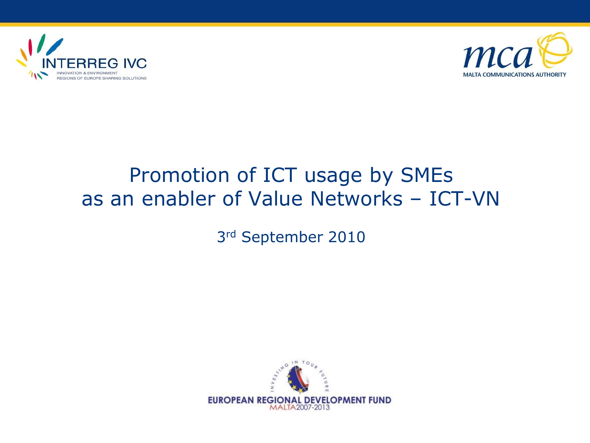



#### Promotion of ICT usage by SMEs as an enabler of Value Networks – ICT-VN

3rd September 2010

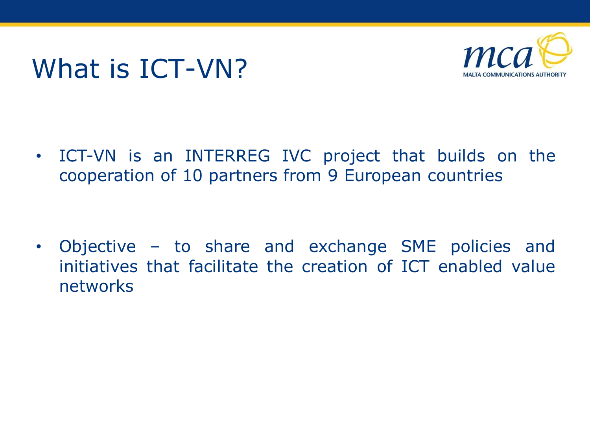# What is ICT-VN?



• ICT-VN is an INTERREG IVC project that builds on the cooperation of 10 partners from 9 European countries

• Objective – to share and exchange SME policies and initiatives that facilitate the creation of ICT enabled value networks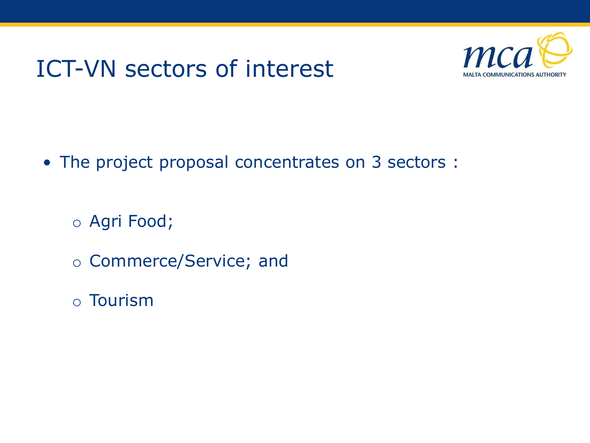### ICT-VN sectors of interest



• The project proposal concentrates on 3 sectors :

o Agri Food;

- o Commerce/Service; and
- o Tourism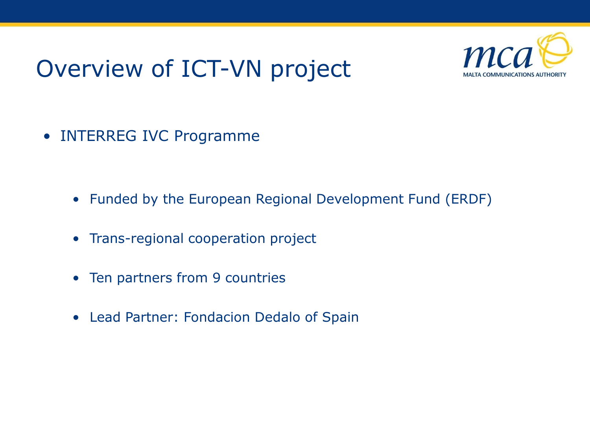## Overview of ICT-VN project



• INTERREG IVC Programme

- Funded by the European Regional Development Fund (ERDF)
- Trans-regional cooperation project
- Ten partners from 9 countries
- Lead Partner: Fondacion Dedalo of Spain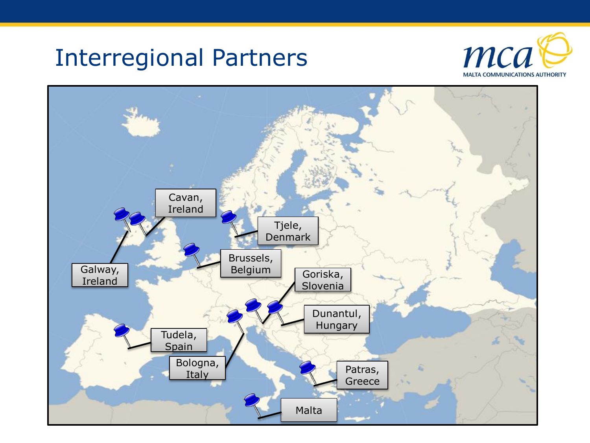#### Interregional Partners



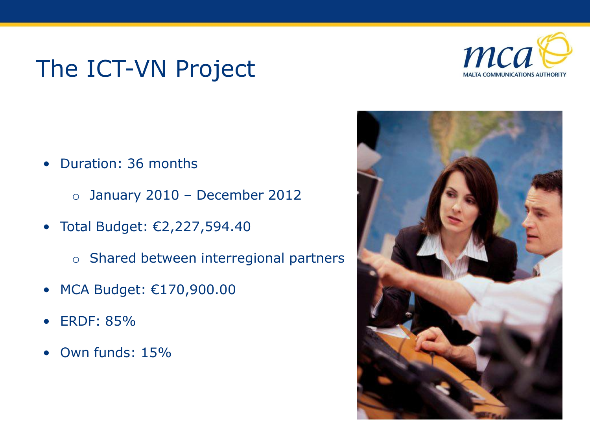## The ICT-VN Project



- Duration: 36 months
	- o January 2010 December 2012
- Total Budget: €2,227,594.40
	- o Shared between interregional partners
- MCA Budget: €170,900.00
- ERDF: 85%
- Own funds: 15%

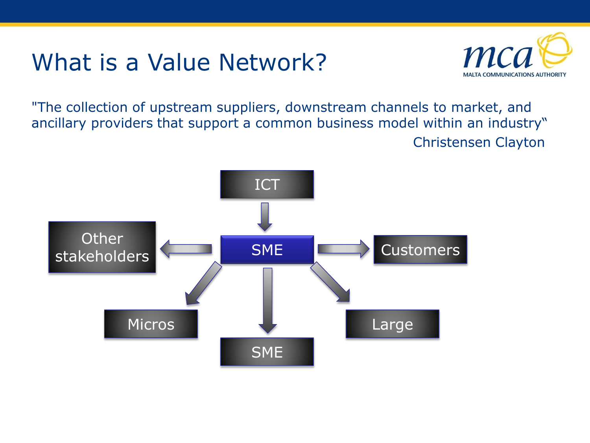#### What is a Value Network?



"The collection of upstream suppliers, downstream channels to market, and ancillary providers that support a common business model within an industry" Christensen Clayton

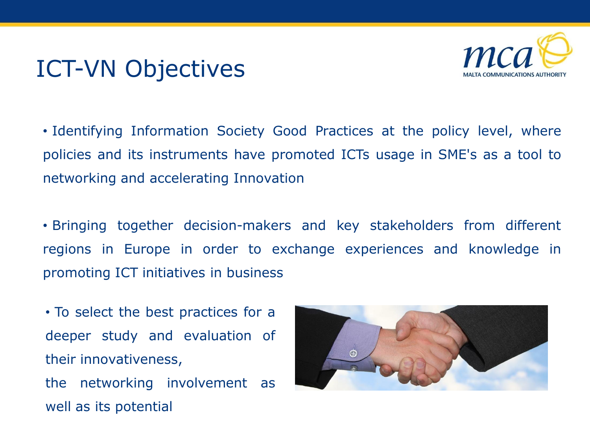### ICT-VN Objectives



• Identifying Information Society Good Practices at the policy level, where policies and its instruments have promoted ICTs usage in SME's as a tool to networking and accelerating Innovation

• Bringing together decision-makers and key stakeholders from different regions in Europe in order to exchange experiences and knowledge in promoting ICT initiatives in business

• To select the best practices for a deeper study and evaluation of their innovativeness, the networking involvement as

well as its potential

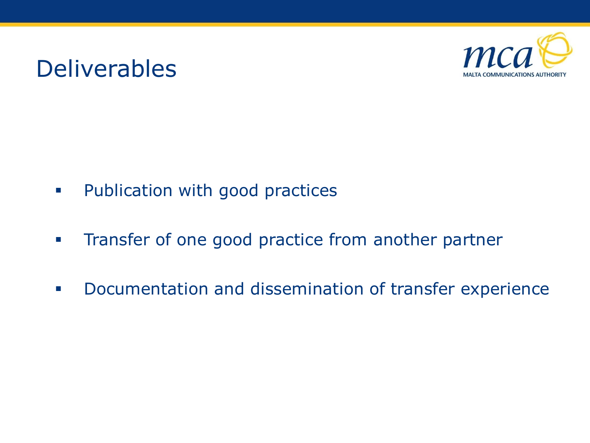#### Deliverables



- **Publication with good practices**
- **Transfer of one good practice from another partner**
- **Documentation and dissemination of transfer experience**